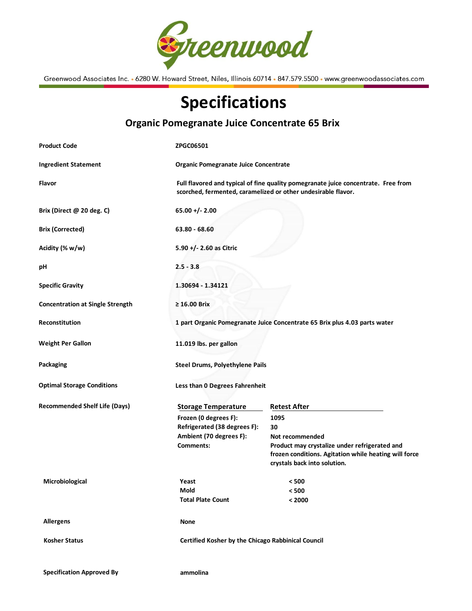

Greenwood Associates Inc. • 6280 W. Howard Street, Niles, Illinois 60714 • 847.579.5500 • www.greenwoodassociates.com

## Specifications

| <b>Product Code</b>                     | <b>ZPGC06501</b>                                                                                                                                    |                                                                                       |
|-----------------------------------------|-----------------------------------------------------------------------------------------------------------------------------------------------------|---------------------------------------------------------------------------------------|
|                                         |                                                                                                                                                     |                                                                                       |
| <b>Ingredient Statement</b>             | Organic Pomegranate Juice Concentrate                                                                                                               |                                                                                       |
| Flavor                                  | Full flavored and typical of fine quality pomegranate juice concentrate. Free from<br>scorched, fermented, caramelized or other undesirable flavor. |                                                                                       |
| Brix (Direct @ 20 deg. C)               | $65.00 +/- 2.00$                                                                                                                                    |                                                                                       |
| <b>Brix (Corrected)</b>                 | $63.80 - 68.60$                                                                                                                                     |                                                                                       |
| Acidity (% w/w)                         | 5.90 +/- 2.60 as Citric                                                                                                                             |                                                                                       |
| рH                                      | $2.5 - 3.8$                                                                                                                                         |                                                                                       |
| <b>Specific Gravity</b>                 | 1.30694 - 1.34121                                                                                                                                   |                                                                                       |
| <b>Concentration at Single Strength</b> | $\geq 16.00$ Brix                                                                                                                                   |                                                                                       |
| <b>Reconstitution</b>                   | 1 part Organic Pomegranate Juice Concentrate 65 Brix plus 4.03 parts water                                                                          |                                                                                       |
| <b>Weight Per Gallon</b>                | 11.019 lbs. per gallon                                                                                                                              |                                                                                       |
| Packaging                               | <b>Steel Drums, Polyethylene Pails</b>                                                                                                              |                                                                                       |
| <b>Optimal Storage Conditions</b>       | Less than 0 Degrees Fahrenheit                                                                                                                      |                                                                                       |
| <b>Recommended Shelf Life (Days)</b>    | <b>Storage Temperature</b>                                                                                                                          | <b>Retest After</b>                                                                   |
|                                         | Frozen (0 degrees F):                                                                                                                               | 1095                                                                                  |
|                                         | Refrigerated (38 degrees F):                                                                                                                        | 30                                                                                    |
|                                         | Ambient (70 degrees F):                                                                                                                             | Not recommended                                                                       |
|                                         | Comments:                                                                                                                                           | Product may crystalize under refrigerated and                                         |
|                                         |                                                                                                                                                     | frozen conditions. Agitation while heating will force<br>crystals back into solution. |
|                                         |                                                                                                                                                     |                                                                                       |
| Microbiological                         | Yeast                                                                                                                                               | $< 500$                                                                               |
|                                         | Mold                                                                                                                                                | < 500                                                                                 |
|                                         | <b>Total Plate Count</b>                                                                                                                            | < 2000                                                                                |
| <b>Allergens</b>                        | <b>None</b>                                                                                                                                         |                                                                                       |
| <b>Kosher Status</b>                    | Certified Kosher by the Chicago Rabbinical Council                                                                                                  |                                                                                       |
|                                         |                                                                                                                                                     |                                                                                       |

## Organic Pomegranate Juice Concentrate 65 Brix

Specification Approved By **ammolina**